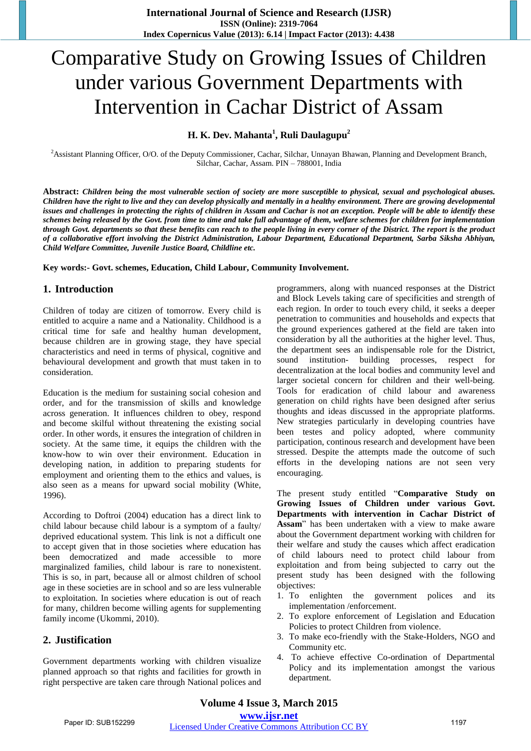# Comparative Study on Growing Issues of Children under various Government Departments with Intervention in Cachar District of Assam

## **H. K. Dev. Mahanta<sup>1</sup> , Ruli Daulagupu<sup>2</sup>**

<sup>2</sup>Assistant Planning Officer, O/O. of the Deputy Commissioner, Cachar, Silchar, Unnayan Bhawan, Planning and Development Branch, Silchar, Cachar, Assam. PIN – 788001, India

**Abstract:** *Children being the most vulnerable section of society are more susceptible to physical, sexual and psychological abuses. Children have the right to live and they can develop physically and mentally in a healthy environment. There are growing developmental issues and challenges in protecting the rights of children in Assam and Cachar is not an exception. People will be able to identify these schemes being released by the Govt. from time to time and take full advantage of them, welfare schemes for children for implementation through Govt. departments so that these benefits can reach to the people living in every corner of the District. The report is the product of a collaborative effort involving the District Administration, Labour Department, Educational Department, Sarba Siksha Abhiyan, Child Welfare Committee, Juvenile Justice Board, Childline etc.* 

**Key words:- Govt. schemes, Education, Child Labour, Community Involvement.** 

#### **1. Introduction**

Children of today are citizen of tomorrow. Every child is entitled to acquire a name and a Nationality. Childhood is a critical time for safe and healthy human development, because children are in growing stage, they have special characteristics and need in terms of physical, cognitive and behavioural development and growth that must taken in to consideration.

Education is the medium for sustaining social cohesion and order, and for the transmission of skills and knowledge across generation. It influences children to obey, respond and become skilful without threatening the existing social order. In other words, it ensures the integration of children in society. At the same time, it equips the children with the know-how to win over their environment. Education in developing nation, in addition to preparing students for employment and orienting them to the ethics and values, is also seen as a means for upward social mobility (White, 1996).

According to Doftroi (2004) education has a direct link to child labour because child labour is a symptom of a faulty/ deprived educational system. This link is not a difficult one to accept given that in those societies where education has been democratized and made accessible to more marginalized families, child labour is rare to nonexistent. This is so, in part, because all or almost children of school age in these societies are in school and so are less vulnerable to exploitation. In societies where education is out of reach for many, children become willing agents for supplementing family income (Ukommi, 2010).

#### **2. Justification**

Government departments working with children visualize planned approach so that rights and facilities for growth in right perspective are taken care through National polices and programmers, along with nuanced responses at the District and Block Levels taking care of specificities and strength of each region. In order to touch every child, it seeks a deeper penetration to communities and households and expects that the ground experiences gathered at the field are taken into consideration by all the authorities at the higher level. Thus, the department sees an indispensable role for the District, sound institution- building processes, respect for decentralization at the local bodies and community level and larger societal concern for children and their well-being. Tools for eradication of child labour and awareness generation on child rights have been designed after serius thoughts and ideas discussed in the appropriate platforms. New strategies particularly in developing countries have been testes and policy adopted, where community participation, continous research and development have been stressed. Despite the attempts made the outcome of such efforts in the developing nations are not seen very encouraging.

The present study entitled "**Comparative Study on Growing Issues of Children under various Govt. Departments with intervention in Cachar District of** Assam<sup>"</sup> has been undertaken with a view to make aware about the Government department working with children for their welfare and study the causes which affect eradication of child labours need to protect child labour from exploitation and from being subjected to carry out the present study has been designed with the following objectives:

- 1. To enlighten the government polices and its implementation /enforcement.
- 2. To explore enforcement of Legislation and Education Policies to protect Children from violence.
- 3. To make eco-friendly with the Stake-Holders, NGO and Community etc.
- 4. To achieve effective Co-ordination of Departmental Policy and its implementation amongst the various department.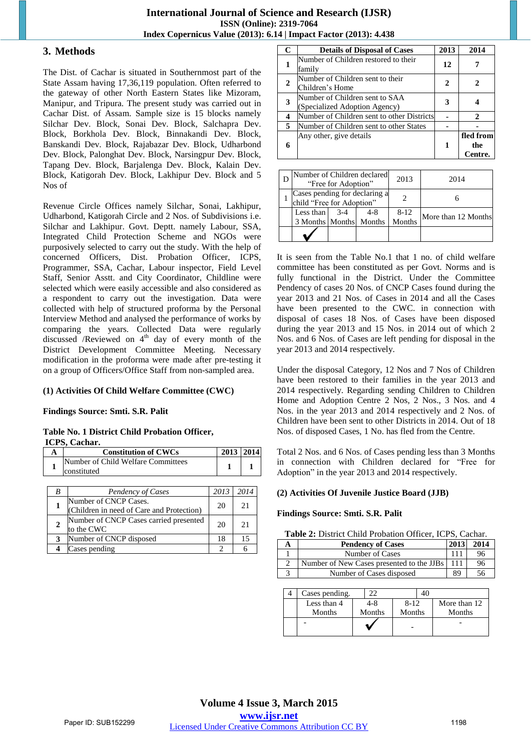#### **3. Methods**

The Dist. of Cachar is situated in Southernmost part of the State Assam having 17,36,119 population. Often referred to the gateway of other North Eastern States like Mizoram, Manipur, and Tripura. The present study was carried out in Cachar Dist. of Assam. Sample size is 15 blocks namely Silchar Dev. Block, Sonai Dev. Block, Salchapra Dev. Block, Borkhola Dev. Block, Binnakandi Dev. Block, Banskandi Dev. Block, Rajabazar Dev. Block, Udharbond Dev. Block, Palonghat Dev. Block, Narsingpur Dev. Block, Tapang Dev. Block, Barjalenga Dev. Block, Kalain Dev. Block, Katigorah Dev. Block, Lakhipur Dev. Block and 5 Nos of

Revenue Circle Offices namely Silchar, Sonai, Lakhipur, Udharbond, Katigorah Circle and 2 Nos. of Subdivisions i.e. Silchar and Lakhipur. Govt. Deptt. namely Labour, SSA, Integrated Child Protection Scheme and NGOs were purposively selected to carry out the study. With the help of concerned Officers, Dist. Probation Officer, ICPS, Programmer, SSA, Cachar, Labour inspector, Field Level Staff, Senior Asstt. and City Coordinator, Childline were selected which were easily accessible and also considered as a respondent to carry out the investigation. Data were collected with help of structured proforma by the Personal Interview Method and analysed the performance of works by comparing the years. Collected Data were regularly discussed /Reviewed on  $4<sup>th</sup>$  day of every month of the District Development Committee Meeting. Necessary modification in the proforma were made after pre-testing it on a group of Officers/Office Staff from non-sampled area.

#### **(1) Activities Of Child Welfare Committee (CWC)**

#### **Findings Source: Smti. S.R. Palit**

#### **Table No. 1 District Child Probation Officer, ICPS, Cachar.**

| <b>Constitution of CWCs</b>        | 2013   2014 |  |
|------------------------------------|-------------|--|
| Number of Child Welfare Committees |             |  |
| <b>constituted</b>                 |             |  |

| B | Pendency of Cases                                                  | 2013 | 2014 |
|---|--------------------------------------------------------------------|------|------|
|   | Number of CNCP Cases.<br>(Children in need of Care and Protection) | 20   | 21   |
|   | Number of CNCP Cases carried presented<br>to the CWC               | 20   | 21   |
|   | Number of CNCP disposed                                            | 18   | 15   |
|   | Cases pending                                                      |      |      |

| C                       | <b>Details of Disposal of Cases</b>                             | 2013 | 2014                        |
|-------------------------|-----------------------------------------------------------------|------|-----------------------------|
| 1                       | Number of Children restored to their<br>family                  | 12   |                             |
| $\overline{2}$          | Number of Children sent to their<br>Children's Home             | 2    | 2                           |
| 3                       | Number of Children sent to SAA<br>(Specialized Adoption Agency) | 3    | 4                           |
| $\overline{\mathbf{4}}$ | Number of Children sent to other Districts                      |      | $\mathcal{D}_{\mathcal{L}}$ |
| 5                       | Number of Children sent to other States                         |      |                             |
| 6                       | Any other, give details                                         | 1    | fled from<br>the<br>Centre. |

| Number of Children declared<br>"Free for Adoption"         |       |         | 2013               | 2014                |
|------------------------------------------------------------|-------|---------|--------------------|---------------------|
| Cases pending for declaring a<br>child "Free for Adoption" |       |         |                    |                     |
| Less than<br>3 Months Months Months                        | $3-4$ | $4 - 8$ | $8 - 12$<br>Months | More than 12 Months |
|                                                            |       |         |                    |                     |

It is seen from the Table No.1 that 1 no. of child welfare committee has been constituted as per Govt. Norms and is fully functional in the District. Under the Committee Pendency of cases 20 Nos. of CNCP Cases found during the year 2013 and 21 Nos. of Cases in 2014 and all the Cases have been presented to the CWC, in connection with disposal of cases 18 Nos. of Cases have been disposed during the year 2013 and 15 Nos. in 2014 out of which 2 Nos. and 6 Nos. of Cases are left pending for disposal in the year 2013 and 2014 respectively.

Under the disposal Category, 12 Nos and 7 Nos of Children have been restored to their families in the year 2013 and 2014 respectively. Regarding sending Children to Children Home and Adoption Centre 2 Nos, 2 Nos., 3 Nos. and 4 Nos. in the year 2013 and 2014 respectively and 2 Nos. of Children have been sent to other Districts in 2014. Out of 18 Nos. of disposed Cases, 1 No. has fled from the Centre.

Total 2 Nos. and 6 Nos. of Cases pending less than 3 Months in connection with Children declared for "Free for Adoption" in the year 2013 and 2014 respectively.

#### **(2) Activities Of Juvenile Justice Board (JJB)**

#### **Findings Source: Smti. S.R. Palit**

| <b>Table 2:</b> District Child Probation Officer, ICPS, Cachar. |  |
|-----------------------------------------------------------------|--|
|-----------------------------------------------------------------|--|

| <b>Pendency of Cases</b>                  | 2013 | 2014 |
|-------------------------------------------|------|------|
| Number of Cases                           |      | 96   |
| Number of New Cases presented to the JJBs | 111  | 96   |
| Number of Cases disposed                  | 89   | 56   |

| Cases pending. |        |          |              |
|----------------|--------|----------|--------------|
| Less than 4    | 4-8    | $8 - 12$ | More than 12 |
| Months         | Months | Months   | Months       |
|                |        |          |              |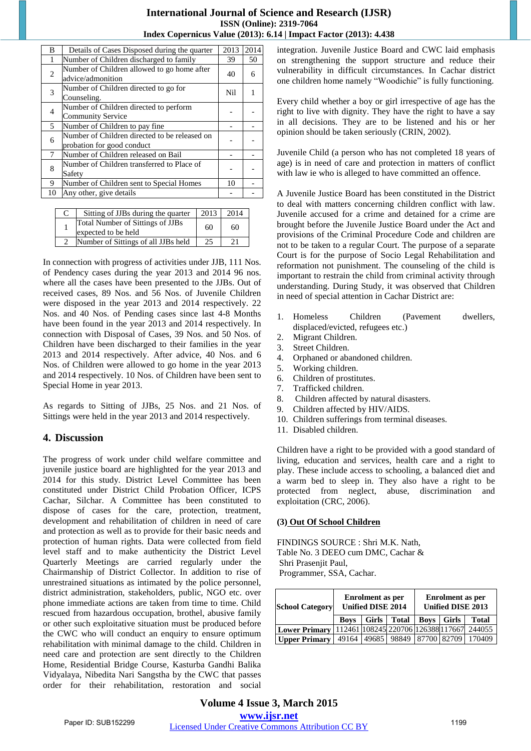| B              | Details of Cases Disposed during the quarter                                | 2013 | 2014 |
|----------------|-----------------------------------------------------------------------------|------|------|
| 1              | Number of Children discharged to family                                     | 39   | 50   |
| $\overline{2}$ | Number of Children allowed to go home after<br>advice/admonition            | 40   | 6    |
| 3              | Number of Children directed to go for<br>Counseling.                        | Nil  |      |
| 4              | Number of Children directed to perform<br><b>Community Service</b>          |      |      |
| 5              | Number of Children to pay fine.                                             |      |      |
| 6              | Number of Children directed to be released on<br>probation for good conduct |      |      |
| $\tau$         | Number of Children released on Bail                                         |      |      |
| 8              | Number of Children transferred to Place of<br>Safety                        |      |      |
| 9              | Number of Children sent to Special Homes                                    | 10   |      |
| 10             | Any other, give details                                                     |      |      |

| Sitting of JJBs during the quarter                      | 2013 | 2014 |
|---------------------------------------------------------|------|------|
| Total Number of Sittings of JJBs<br>expected to be held | 60   | 60   |
| Number of Sittings of all JJBs held                     | 25   | 21   |

In connection with progress of activities under JJB, 111 Nos. of Pendency cases during the year 2013 and 2014 96 nos. where all the cases have been presented to the JJBs. Out of received cases, 89 Nos. and 56 Nos. of Juvenile Children were disposed in the year 2013 and 2014 respectively. 22 Nos. and 40 Nos. of Pending cases since last 4-8 Months have been found in the year 2013 and 2014 respectively. In connection with Disposal of Cases, 39 Nos. and 50 Nos. of Children have been discharged to their families in the year 2013 and 2014 respectively. After advice, 40 Nos. and 6 Nos. of Children were allowed to go home in the year 2013 and 2014 respectively. 10 Nos. of Children have been sent to Special Home in year 2013.

As regards to Sitting of JJBs, 25 Nos. and 21 Nos. of Sittings were held in the year 2013 and 2014 respectively.

# **4. Discussion**

The progress of work under child welfare committee and juvenile justice board are highlighted for the year 2013 and 2014 for this study. District Level Committee has been constituted under District Child Probation Officer, ICPS Cachar, Silchar. A Committee has been constituted to dispose of cases for the care, protection, treatment, development and rehabilitation of children in need of care and protection as well as to provide for their basic needs and protection of human rights. Data were collected from field level staff and to make authenticity the District Level Quarterly Meetings are carried regularly under the Chairmanship of District Collector. In addition to rise of unrestrained situations as intimated by the police personnel, district administration, stakeholders, public, NGO etc. over phone immediate actions are taken from time to time. Child rescued from hazardous occupation, brothel, abusive family or other such exploitative situation must be produced before the CWC who will conduct an enquiry to ensure optimum rehabilitation with minimal damage to the child. Children in need care and protection are sent directly to the Children Home, Residential Bridge Course, Kasturba Gandhi Balika Vidyalaya, Nibedita Nari Sangstha by the CWC that passes order for their rehabilitation, restoration and social integration. Juvenile Justice Board and CWC laid emphasis on strengthening the support structure and reduce their vulnerability in difficult circumstances. In Cachar district one children home namely "Woodichie" is fully functioning.

Every child whether a boy or girl irrespective of age has the right to live with dignity. They have the right to have a say in all decisions. They are to be listened and his or her opinion should be taken seriously (CRIN, 2002).

Juvenile Child (a person who has not completed 18 years of age) is in need of care and protection in matters of conflict with law ie who is alleged to have committed an offence.

A Juvenile Justice Board has been constituted in the District to deal with matters concerning children conflict with law. Juvenile accused for a crime and detained for a crime are brought before the Juvenile Justice Board under the Act and provisions of the Criminal Procedure Code and children are not to be taken to a regular Court. The purpose of a separate Court is for the purpose of Socio Legal Rehabilitation and reformation not punishment. The counseling of the child is important to restrain the child from criminal activity through understanding. During Study, it was observed that Children in need of special attention in Cachar District are:

- 1. Homeless Children (Pavement dwellers, displaced/evicted, refugees etc.)
- 2. Migrant Children.
- 3. Street Children.
- 4. Orphaned or abandoned children.
- 5. Working children.
- 6. Children of prostitutes.
- 7. Trafficked children.
- 8. Children affected by natural disasters.
- 9. Children affected by HIV/AIDS.
- 10. Children sufferings from terminal diseases.
- 11. Disabled children.

Children have a right to be provided with a good standard of living, education and services, health care and a right to play. These include access to schooling, a balanced diet and a warm bed to sleep in. They also have a right to be protected from neglect, abuse, discrimination and exploitation (CRC, 2006).

#### **(3) Out Of School Children**

FINDINGS SOURCE : Shri M.K. Nath, Table No. 3 DEEO cum DMC, Cachar & Shri Prasenjit Paul, Programmer, SSA, Cachar.

| <b>School Category</b>                             | <b>Enrolment</b> as per<br><b>Unified DISE 2014</b> |  |                                       | <b>Enrolment</b> as per<br><b>Unified DISE 2013</b> |       |              |
|----------------------------------------------------|-----------------------------------------------------|--|---------------------------------------|-----------------------------------------------------|-------|--------------|
|                                                    | <b>Boys</b>                                         |  | Girls Total                           | <b>Boys</b>                                         | Girls | <b>Total</b> |
| Lower Primary   112461 108245 220706 126388 117667 |                                                     |  |                                       |                                                     |       | 244055       |
| <b>Upper Primary</b>                               |                                                     |  | 49164   49685   98849   87700   82709 |                                                     |       | 170409       |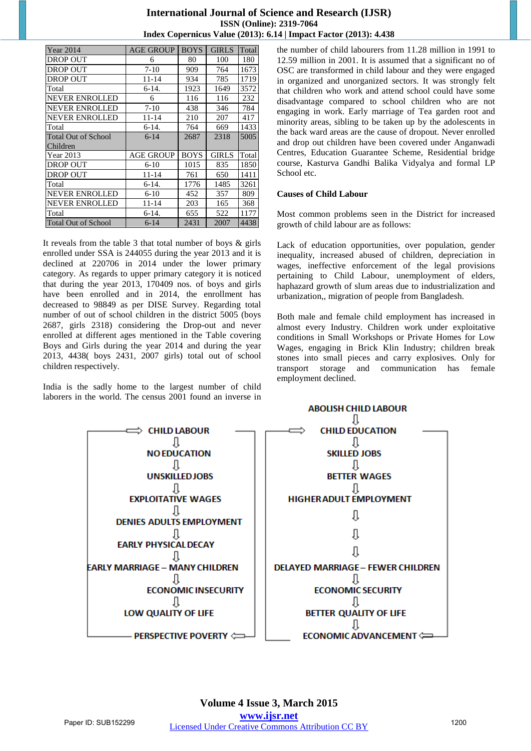| <b>Year 2014</b>           | AGE GROUP | <b>BOYS</b> | <b>GIRLS</b> | Total |
|----------------------------|-----------|-------------|--------------|-------|
| DROP OUT                   | 6         | 80          | 100          | 180   |
| DROP OUT                   | $7 - 10$  | 909         | 764          | 1673  |
| DROP OUT                   | 11-14     | 934         | 785          | 1719  |
| Total                      | $6-14.$   | 1923        | 1649         | 3572  |
| NEVER ENROLLED             | 6         | 116         | 116          | 232   |
| NEVER ENROLLED             | $7-10$    | 438         | 346          | 784   |
| NEVER ENROLLED             | 11-14     | 210         | 207          | 417   |
| Total                      | $6-14.$   | 764         | 669          | 1433  |
| <b>Total Out of School</b> | $6 - 14$  | 2687        | 2318         | 5005  |
| Children                   |           |             |              |       |
| Year 2013                  | AGE GROUP | <b>BOYS</b> | <b>GIRLS</b> | Total |
| DROP OUT                   | $6-10$    | 1015        | 835          | 1850  |
| DROP OUT                   | 11-14     | 761         | 650          | 1411  |
| Total                      | $6-14.$   | 1776        | 1485         | 3261  |
| NEVER ENROLLED             | $6-10$    | 452         | 357          | 809   |
| NEVER ENROLLED             | 11-14     | 203         | 165          | 368   |
| Total                      | $6-14.$   | 655         | 522          | 1177  |
| <b>Total Out of School</b> | $6 - 14$  | 2431        | 2007         | 4438  |

It reveals from the table 3 that total number of boys & girls enrolled under SSA is 244055 during the year 2013 and it is declined at 220706 in 2014 under the lower primary category. As regards to upper primary category it is noticed that during the year 2013, 170409 nos. of boys and girls have been enrolled and in 2014, the enrollment has decreased to 98849 as per DISE Survey. Regarding total number of out of school children in the district 5005 (boys 2687, girls 2318) considering the Drop-out and never enrolled at different ages mentioned in the Table covering Boys and Girls during the year 2014 and during the year 2013, 4438( boys 2431, 2007 girls) total out of school children respectively.

India is the sadly home to the largest number of child laborers in the world. The census 2001 found an inverse in

the number of child labourers from 11.28 million in 1991 to 12.59 million in 2001. It is assumed that a significant no of OSC are transformed in child labour and they were engaged in organized and unorganized sectors. It was strongly felt that children who work and attend school could have some disadvantage compared to school children who are not engaging in work. Early marriage of Tea garden root and minority areas, sibling to be taken up by the adolescents in the back ward areas are the cause of dropout. Never enrolled and drop out children have been covered under Anganwadi Centres, Education Guarantee Scheme, Residential bridge course, Kasturva Gandhi Balika Vidyalya and formal LP School etc.

#### **Causes of Child Labour**

Most common problems seen in the District for increased growth of child labour are as follows:

Lack of education opportunities, over population, gender inequality, increased abused of children, depreciation in wages, ineffective enforcement of the legal provisions pertaining to Child Labour, unemployment of elders, haphazard growth of slum areas due to industrialization and urbanization,, migration of people from Bangladesh.

Both male and female child employment has increased in almost every Industry. Children work under exploitative conditions in Small Workshops or Private Homes for Low Wages, engaging in Brick Klin Industry; children break stones into small pieces and carry explosives. Only for transport storage and communication has female employment declined.

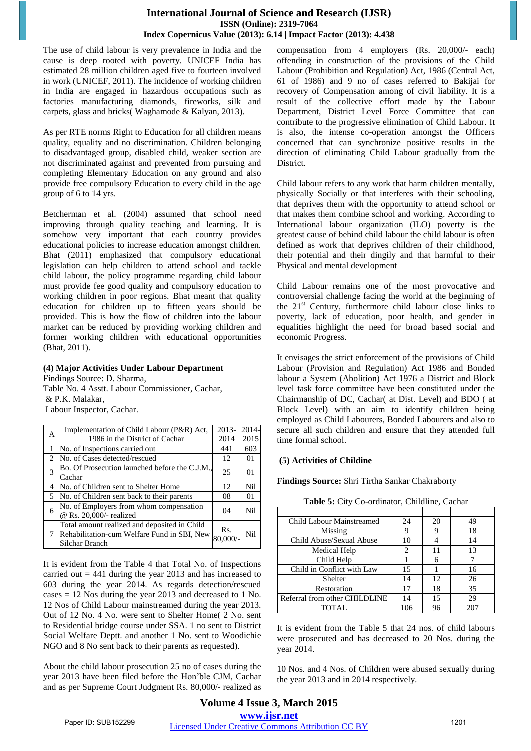The use of child labour is very prevalence in India and the cause is deep rooted with poverty. UNICEF India has estimated 28 million children aged five to fourteen involved in work (UNICEF, 2011). The incidence of working children in India are engaged in hazardous occupations such as factories manufacturing diamonds, fireworks, silk and carpets, glass and bricks( Waghamode & Kalyan, 2013).

As per RTE norms Right to Education for all children means quality, equality and no discrimination. Children belonging to disadvantaged group, disabled child, weaker section are not discriminated against and prevented from pursuing and completing Elementary Education on any ground and also provide free compulsory Education to every child in the age group of 6 to 14 yrs.

Betcherman et al. (2004) assumed that school need improving through quality teaching and learning. It is somehow very important that each country provides educational policies to increase education amongst children. Bhat (2011) emphasized that compulsory educational legislation can help children to attend school and tackle child labour, the policy programme regarding child labour must provide fee good quality and compulsory education to working children in poor regions. Bhat meant that quality education for children up to fifteen years should be provided. This is how the flow of children into the labour market can be reduced by providing working children and former working children with educational opportunities (Bhat, 2011).

## **(4) Major Activities Under Labour Department**

Findings Source: D. Sharma, Table No. 4 Asstt. Labour Commissioner, Cachar, & P.K. Malakar, Labour Inspector, Cachar.

| А              | Implementation of Child Labour (P&R) Act,      | 2013-   | 2014- |
|----------------|------------------------------------------------|---------|-------|
|                | 1986 in the District of Cachar                 | 2014    | 2015  |
|                | No. of Inspections carried out                 | 441     | 603   |
| $\mathcal{L}$  | No. of Cases detected/rescued                  | 12      | 01    |
| 3              | Bo. Of Prosecution launched before the C.J.M., | 25      | 01    |
|                | Cachar                                         |         |       |
| 4              | No. of Children sent to Shelter Home           | 12      | Nil   |
| $\overline{5}$ | No. of Children sent back to their parents     | 08      | 01    |
| 6              | No. of Employers from whom compensation        | 04      | Nil   |
|                | @ Rs. 20,000/- realized                        |         |       |
|                | Total amount realized and deposited in Child   | Rs.     |       |
| 7              | Rehabilitation-cum Welfare Fund in SBI, New    | 80,000/ | Nil   |
|                | Silchar Branch                                 |         |       |

It is evident from the Table 4 that Total No. of Inspections carried out  $= 441$  during the year 2013 and has increased to 603 during the year 2014. As regards detection/rescued cases = 12 Nos during the year 2013 and decreased to 1 No. 12 Nos of Child Labour mainstreamed during the year 2013. Out of 12 No. 4 No. were sent to Shelter Home( 2 No. sent to Residential bridge course under SSA. 1 no sent to District Social Welfare Deptt. and another 1 No. sent to Woodichie NGO and 8 No sent back to their parents as requested).

About the child labour prosecution 25 no of cases during the year 2013 have been filed before the Hon'ble CJM, Cachar and as per Supreme Court Judgment Rs. 80,000/- realized as compensation from 4 employers (Rs. 20,000/- each) offending in construction of the provisions of the Child Labour (Prohibition and Regulation) Act, 1986 (Central Act, 61 of 1986) and 9 no of cases referred to Bakijai for recovery of Compensation among of civil liability. It is a result of the collective effort made by the Labour Department, District Level Force Committee that can contribute to the progressive elimination of Child Labour. It is also, the intense co-operation amongst the Officers concerned that can synchronize positive results in the direction of eliminating Child Labour gradually from the District.

Child labour refers to any work that harm children mentally, physically Socially or that interferes with their schooling, that deprives them with the opportunity to attend school or that makes them combine school and working. According to International labour organization (ILO) poverty is the greatest cause of behind child labour the child labour is often defined as work that deprives children of their childhood, their potential and their dingily and that harmful to their Physical and mental development

Child Labour remains one of the most provocative and controversial challenge facing the world at the beginning of the  $21<sup>st</sup>$  Century, furthermore child labour close links to poverty, lack of education, poor health, and gender in equalities highlight the need for broad based social and economic Progress.

It envisages the strict enforcement of the provisions of Child Labour (Provision and Regulation) Act 1986 and Bonded labour a System (Abolition) Act 1976 a District and Block level task force committee have been constituted under the Chairmanship of DC, Cachar( at Dist. Level) and BDO ( at Block Level) with an aim to identify children being employed as Child Labourers, Bonded Labourers and also to secure all such children and ensure that they attended full time formal school.

#### **(5) Activities of Childine**

**Findings Source:** Shri Tirtha Sankar Chakraborty

| Table 5: City Co-ordinator, Childline, Cachar |  |  |
|-----------------------------------------------|--|--|
|                                               |  |  |

| Child Labour Mainstreamed     | 24  | 20 | 49  |
|-------------------------------|-----|----|-----|
| Missing                       | g   | 9  | 18  |
| Child Abuse/Sexual Abuse      | 10  |    | 14  |
| Medical Help                  | 2   | 11 | 13  |
| Child Help                    |     | 6  |     |
| Child in Conflict with Law    | 15  |    | 16  |
| Shelter                       | 14  | 12 | 26  |
| Restoration                   | 17  | 18 | 35  |
| Referral from other CHILDLINE | 14  | 15 | 29  |
| <b>TOTAL</b>                  | 106 | 96 | 201 |

It is evident from the Table 5 that 24 nos. of child labours were prosecuted and has decreased to 20 Nos. during the year 2014.

10 Nos. and 4 Nos. of Children were abused sexually during the year 2013 and in 2014 respectively.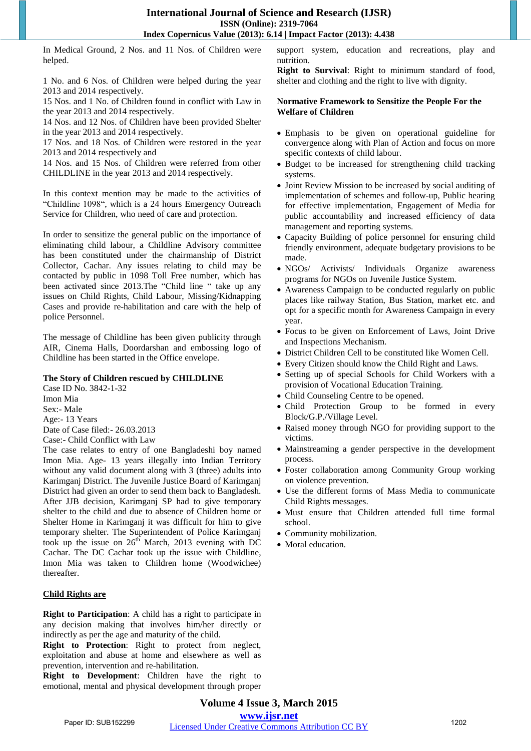In Medical Ground, 2 Nos. and 11 Nos. of Children were helped.

1 No. and 6 Nos. of Children were helped during the year 2013 and 2014 respectively.

15 Nos. and 1 No. of Children found in conflict with Law in the year 2013 and 2014 respectively.

14 Nos. and 12 Nos. of Children have been provided Shelter in the year 2013 and 2014 respectively.

17 Nos. and 18 Nos. of Children were restored in the year 2013 and 2014 respectively and

14 Nos. and 15 Nos. of Children were referred from other CHILDLINE in the year 2013 and 2014 respectively.

In this context mention may be made to the activities of "Childline 1098", which is a 24 hours Emergency Outreach Service for Children, who need of care and protection.

In order to sensitize the general public on the importance of eliminating child labour, a Childline Advisory committee has been constituted under the chairmanship of District Collector, Cachar. Any issues relating to child may be contacted by public in 1098 Toll Free number, which has been activated since 2013.The "Child line " take up any issues on Child Rights, Child Labour, Missing/Kidnapping Cases and provide re-habilitation and care with the help of police Personnel.

The message of Childline has been given publicity through AIR, Cinema Halls, Doordarshan and embossing logo of Childline has been started in the Office envelope.

#### **The Story of Children rescued by CHILDLINE**

Case ID No. 3842-1-32 Imon Mia Sex:- Male Age:- 13 Years Date of Case filed:- 26.03.2013 Case:- Child Conflict with Law

The case relates to entry of one Bangladeshi boy named Imon Mia. Age- 13 years illegally into Indian Territory without any valid document along with 3 (three) adults into Karimganj District. The Juvenile Justice Board of Karimganj District had given an order to send them back to Bangladesh. After JJB decision, Karimganj SP had to give temporary shelter to the child and due to absence of Children home or Shelter Home in Karimganj it was difficult for him to give temporary shelter. The Superintendent of Police Karimganj took up the issue on  $26<sup>th</sup>$  March, 2013 evening with DC Cachar. The DC Cachar took up the issue with Childline, Imon Mia was taken to Children home (Woodwichee) thereafter.

#### **Child Rights are**

**Right to Participation**: A child has a right to participate in any decision making that involves him/her directly or indirectly as per the age and maturity of the child.

**Right to Protection**: Right to protect from neglect, exploitation and abuse at home and elsewhere as well as prevention, intervention and re-habilitation.

**Right to Development**: Children have the right to emotional, mental and physical development through proper support system, education and recreations, play and nutrition.

**Right to Survival**: Right to minimum standard of food, shelter and clothing and the right to live with dignity.

#### **Normative Framework to Sensitize the People For the Welfare of Children**

- Emphasis to be given on operational guideline for convergence along with Plan of Action and focus on more specific contexts of child labour.
- Budget to be increased for strengthening child tracking systems.
- Joint Review Mission to be increased by social auditing of implementation of schemes and follow-up, Public hearing for effective implementation, Engagement of Media for public accountability and increased efficiency of data management and reporting systems.
- Capacity Building of police personnel for ensuring child friendly environment, adequate budgetary provisions to be made.
- NGOs/ Activists/ Individuals Organize awareness programs for NGOs on Juvenile Justice System.
- Awareness Campaign to be conducted regularly on public places like railway Station, Bus Station, market etc. and opt for a specific month for Awareness Campaign in every year.
- Focus to be given on Enforcement of Laws, Joint Drive and Inspections Mechanism.
- District Children Cell to be constituted like Women Cell.
- Every Citizen should know the Child Right and Laws.
- Setting up of special Schools for Child Workers with a provision of Vocational Education Training.
- Child Counseling Centre to be opened.
- Child Protection Group to be formed in every Block/G.P./Village Level.
- Raised money through NGO for providing support to the victims.
- Mainstreaming a gender perspective in the development process.
- Foster collaboration among Community Group working on violence prevention.
- Use the different forms of Mass Media to communicate Child Rights messages.
- Must ensure that Children attended full time formal school.
- Community mobilization.
- Moral education.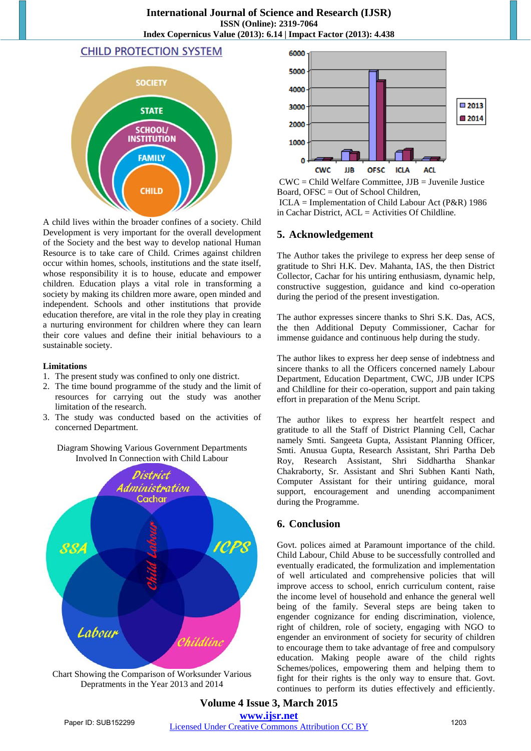# **CHILD PROTECTION SYSTEM**



A child lives within the broader confines of a society. Child Development is very important for the overall development of the Society and the best way to develop national Human Resource is to take care of Child. Crimes against children occur within homes, schools, institutions and the state itself, whose responsibility it is to house, educate and empower children. Education plays a vital role in transforming a society by making its children more aware, open minded and independent. Schools and other institutions that provide education therefore, are vital in the role they play in creating a nurturing environment for children where they can learn their core values and define their initial behaviours to a sustainable society.

#### **Limitations**

- 1. The present study was confined to only one district.
- 2. The time bound programme of the study and the limit of resources for carrying out the study was another limitation of the research.
- 3. The study was conducted based on the activities of concerned Department.

#### Diagram Showing Various Government Departments Involved In Connection with Child Labour



Chart Showing the Comparison of Worksunder Various Depratments in the Year 2013 and 2014



 $CWC = Child Weight$  Committee,  $JJB = Ju$ venile Justice Board, OFSC = Out of School Children,

 ICLA = Implementation of Child Labour Act (P&R) 1986 in Cachar District, ACL = Activities Of Childline.

# **5. Acknowledgement**

The Author takes the privilege to express her deep sense of gratitude to Shri H.K. Dev. Mahanta, IAS, the then District Collector, Cachar for his untiring enthusiasm, dynamic help, constructive suggestion, guidance and kind co-operation during the period of the present investigation.

The author expresses sincere thanks to Shri S.K. Das, ACS, the then Additional Deputy Commissioner, Cachar for immense guidance and continuous help during the study.

The author likes to express her deep sense of indebtness and sincere thanks to all the Officers concerned namely Labour Department, Education Department, CWC, JJB under ICPS and Childline for their co-operation, support and pain taking effort in preparation of the Menu Script.

The author likes to express her heartfelt respect and gratitude to all the Staff of District Planning Cell, Cachar namely Smti. Sangeeta Gupta, Assistant Planning Officer, Smti. Anusua Gupta, Research Assistant, Shri Partha Deb Roy, Research Assistant, Shri Siddhartha Shankar Chakraborty, Sr. Assistant and Shri Subhen Kanti Nath, Computer Assistant for their untiring guidance, moral support, encouragement and unending accompaniment during the Programme.

# **6. Conclusion**

Govt. polices aimed at Paramount importance of the child. Child Labour, Child Abuse to be successfully controlled and eventually eradicated, the formulization and implementation of well articulated and comprehensive policies that will improve access to school, enrich curriculum content, raise the income level of household and enhance the general well being of the family. Several steps are being taken to engender cognizance for ending discrimination, violence, right of children, role of society, engaging with NGO to engender an environment of society for security of children to encourage them to take advantage of free and compulsory education. Making people aware of the child rights Schemes/polices, empowering them and helping them to fight for their rights is the only way to ensure that. Govt. continues to perform its duties effectively and efficiently.

**Volume 4 Issue 3, March 2015 www.ijsr.net** Paper ID: SUB152299 Licensed Under Creative Commons Attribution CC BY 1203